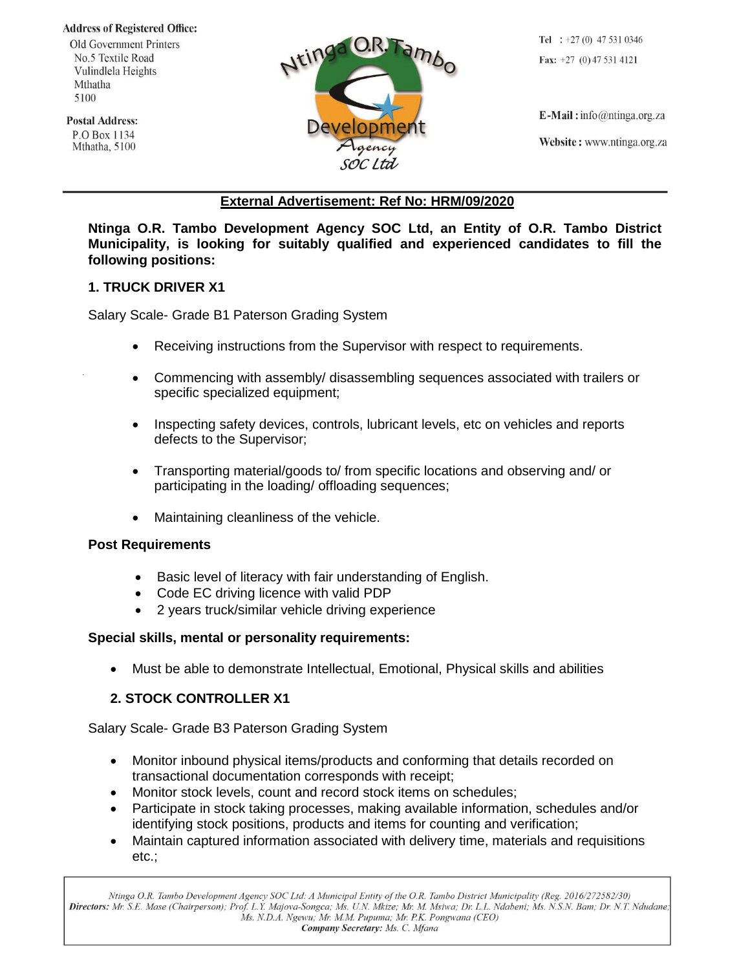#### **Address of Registered Office:**

**Old Government Printers** No.5 Textile Road Vulindlela Heights Mthatha 5100

**Postal Address:** P.O Box 1134 Mthatha, 5100



Tel :  $+27(0)$  47 531 0346 Fax:  $+27$  (0) 47 531 4121

 $E$ -Mail: info@ntinga.org.za Website: www.ntinga.org.za

# **External Advertisement: Ref No: HRM/09/2020**

**Ntinga O.R. Tambo Development Agency SOC Ltd, an Entity of O.R. Tambo District Municipality, is looking for suitably qualified and experienced candidates to fill the following positions:**

# **1. TRUCK DRIVER X1**

Salary Scale- Grade B1 Paterson Grading System

- Receiving instructions from the Supervisor with respect to requirements.
- Commencing with assembly/ disassembling sequences associated with trailers or specific specialized equipment;
- Inspecting safety devices, controls, lubricant levels, etc on vehicles and reports defects to the Supervisor;
- Transporting material/goods to/ from specific locations and observing and/ or participating in the loading/ offloading sequences;
- Maintaining cleanliness of the vehicle.

# **Post Requirements**

- Basic level of literacy with fair understanding of English.
- Code EC driving licence with valid PDP
- 2 years truck/similar vehicle driving experience

# **Special skills, mental or personality requirements:**

• Must be able to demonstrate Intellectual, Emotional, Physical skills and abilities

# **2. STOCK CONTROLLER X1**

Salary Scale- Grade B3 Paterson Grading System

- Monitor inbound physical items/products and conforming that details recorded on transactional documentation corresponds with receipt;
- Monitor stock levels, count and record stock items on schedules;
- Participate in stock taking processes, making available information, schedules and/or identifying stock positions, products and items for counting and verification;
- Maintain captured information associated with delivery time, materials and requisitions etc.;

Ntinga O.R. Tambo Development Agency SOC Ltd: A Municipal Entity of the O.R. Tambo District Municipality (Reg. 2016/272582/30) Directors: Mr. S.E. Mase (Chairperson); Prof. L.Y. Majova-Songca; Ms. U.N. Mkize; Mr. M. Msiwa; Dr. L.L. Ndabeni; Ms. N.S.N. Bam; Dr. N.T. Ndudane; Ms. N.D.A. Ngewu; Mr. M.M. Pupuma; Mr. P.K. Pongwana (CEO) Company Secretary: Ms. C. Mfana